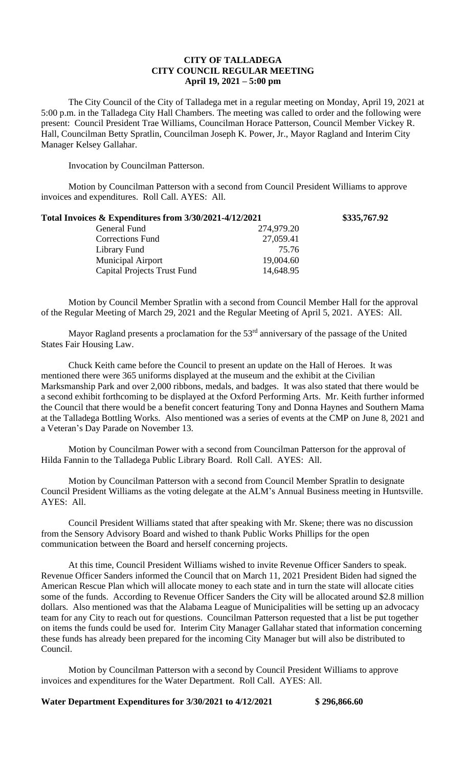## **CITY OF TALLADEGA CITY COUNCIL REGULAR MEETING April 19, 2021 – 5:00 pm**

The City Council of the City of Talladega met in a regular meeting on Monday, April 19, 2021 at 5:00 p.m. in the Talladega City Hall Chambers. The meeting was called to order and the following were present: Council President Trae Williams, Councilman Horace Patterson, Council Member Vickey R. Hall, Councilman Betty Spratlin, Councilman Joseph K. Power, Jr., Mayor Ragland and Interim City Manager Kelsey Gallahar.

Invocation by Councilman Patterson.

Motion by Councilman Patterson with a second from Council President Williams to approve invoices and expenditures. Roll Call. AYES: All.

| Total Invoices & Expenditures from 3/30/2021-4/12/2021 |            | \$335,767.92 |
|--------------------------------------------------------|------------|--------------|
| General Fund                                           | 274,979.20 |              |
| <b>Corrections Fund</b>                                | 27,059.41  |              |
| Library Fund                                           | 75.76      |              |
| <b>Municipal Airport</b>                               | 19,004.60  |              |
| <b>Capital Projects Trust Fund</b>                     | 14,648.95  |              |

Motion by Council Member Spratlin with a second from Council Member Hall for the approval of the Regular Meeting of March 29, 2021 and the Regular Meeting of April 5, 2021. AYES: All.

Mayor Ragland presents a proclamation for the  $53<sup>rd</sup>$  anniversary of the passage of the United States Fair Housing Law.

Chuck Keith came before the Council to present an update on the Hall of Heroes. It was mentioned there were 365 uniforms displayed at the museum and the exhibit at the Civilian Marksmanship Park and over 2,000 ribbons, medals, and badges. It was also stated that there would be a second exhibit forthcoming to be displayed at the Oxford Performing Arts. Mr. Keith further informed the Council that there would be a benefit concert featuring Tony and Donna Haynes and Southern Mama at the Talladega Bottling Works. Also mentioned was a series of events at the CMP on June 8, 2021 and a Veteran's Day Parade on November 13.

Motion by Councilman Power with a second from Councilman Patterson for the approval of Hilda Fannin to the Talladega Public Library Board. Roll Call. AYES: All.

Motion by Councilman Patterson with a second from Council Member Spratlin to designate Council President Williams as the voting delegate at the ALM's Annual Business meeting in Huntsville. AYES: All.

Council President Williams stated that after speaking with Mr. Skene; there was no discussion from the Sensory Advisory Board and wished to thank Public Works Phillips for the open communication between the Board and herself concerning projects.

At this time, Council President Williams wished to invite Revenue Officer Sanders to speak. Revenue Officer Sanders informed the Council that on March 11, 2021 President Biden had signed the American Rescue Plan which will allocate money to each state and in turn the state will allocate cities some of the funds. According to Revenue Officer Sanders the City will be allocated around \$2.8 million dollars. Also mentioned was that the Alabama League of Municipalities will be setting up an advocacy team for any City to reach out for questions. Councilman Patterson requested that a list be put together on items the funds could be used for. Interim City Manager Gallahar stated that information concerning these funds has already been prepared for the incoming City Manager but will also be distributed to Council.

Motion by Councilman Patterson with a second by Council President Williams to approve invoices and expenditures for the Water Department. Roll Call. AYES: All.

## **Water Department Expenditures for 3/30/2021 to 4/12/2021 \$ 296,866.60**